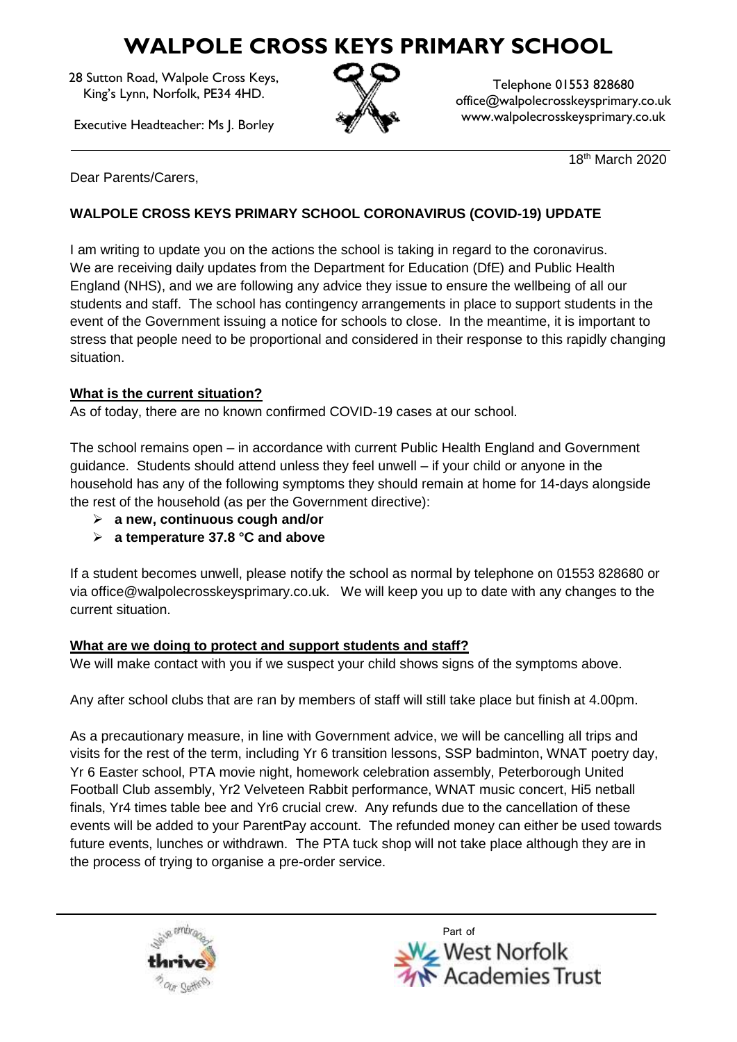# **WALPOLE CROSS KEYS PRIMARY SCHOOL**

28 Sutton Road, Walpole Cross Keys, King's Lynn, Norfolk, PE34 4HD.

Executive Headteacher: Ms J. Borley



Telephone 01553 828680 office@walpolecrosskeysprimary.co.uk www.walpolecrosskeysprimary.co.uk

18th March 2020

Dear Parents/Carers,

## **WALPOLE CROSS KEYS PRIMARY SCHOOL CORONAVIRUS (COVID-19) UPDATE**

I am writing to update you on the actions the school is taking in regard to the coronavirus. We are receiving daily updates from the Department for Education (DfE) and Public Health England (NHS), and we are following any advice they issue to ensure the wellbeing of all our students and staff. The school has contingency arrangements in place to support students in the event of the Government issuing a notice for schools to close. In the meantime, it is important to stress that people need to be proportional and considered in their response to this rapidly changing situation.

### **What is the current situation?**

As of today, there are no known confirmed COVID-19 cases at our school.

The school remains open – in accordance with current Public Health England and Government guidance. Students should attend unless they feel unwell – if your child or anyone in the household has any of the following symptoms they should remain at home for 14-days alongside the rest of the household (as per the Government directive):

- **a new, continuous cough and/or**
- **a temperature 37.8 °C and above**

If a student becomes unwell, please notify the school as normal by telephone on 01553 828680 or via office@walpolecrosskeysprimary.co.uk. We will keep you up to date with any changes to the current situation.

### **What are we doing to protect and support students and staff?**

We will make contact with you if we suspect your child shows signs of the symptoms above.

Any after school clubs that are ran by members of staff will still take place but finish at 4.00pm.

As a precautionary measure, in line with Government advice, we will be cancelling all trips and visits for the rest of the term, including Yr 6 transition lessons, SSP badminton, WNAT poetry day, Yr 6 Easter school, PTA movie night, homework celebration assembly, Peterborough United Football Club assembly, Yr2 Velveteen Rabbit performance, WNAT music concert, Hi5 netball finals, Yr4 times table bee and Yr6 crucial crew. Any refunds due to the cancellation of these events will be added to your ParentPay account. The refunded money can either be used towards future events, lunches or withdrawn. The PTA tuck shop will not take place although they are in the process of trying to organise a pre-order service.



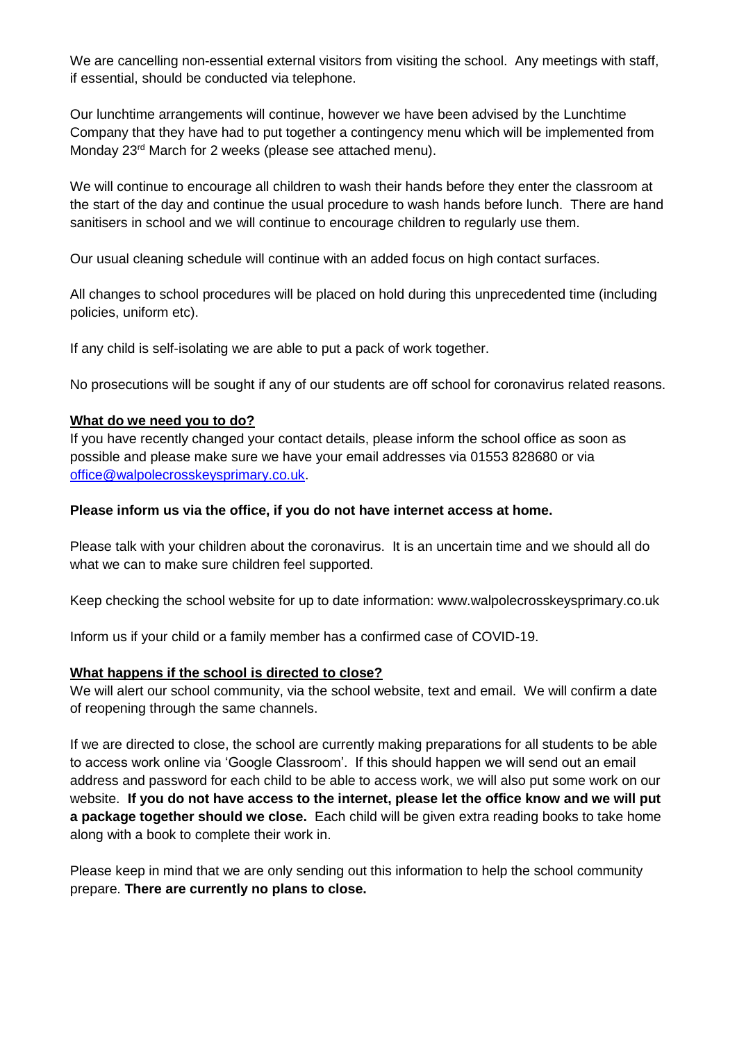We are cancelling non-essential external visitors from visiting the school. Any meetings with staff, if essential, should be conducted via telephone.

Our lunchtime arrangements will continue, however we have been advised by the Lunchtime Company that they have had to put together a contingency menu which will be implemented from Monday 23<sup>rd</sup> March for 2 weeks (please see attached menu).

We will continue to encourage all children to wash their hands before they enter the classroom at the start of the day and continue the usual procedure to wash hands before lunch. There are hand sanitisers in school and we will continue to encourage children to regularly use them.

Our usual cleaning schedule will continue with an added focus on high contact surfaces.

All changes to school procedures will be placed on hold during this unprecedented time (including policies, uniform etc).

If any child is self-isolating we are able to put a pack of work together.

No prosecutions will be sought if any of our students are off school for coronavirus related reasons.

#### **What do we need you to do?**

If you have recently changed your contact details, please inform the school office as soon as possible and please make sure we have your email addresses via 01553 828680 or via [office@walpolecrosskeysprimary.co.uk.](mailto:office@walpolecrosskeysprimary.co.uk)

#### **Please inform us via the office, if you do not have internet access at home.**

Please talk with your children about the coronavirus. It is an uncertain time and we should all do what we can to make sure children feel supported.

Keep checking the school website for up to date information: www.walpolecrosskeysprimary.co.uk

Inform us if your child or a family member has a confirmed case of COVID-19.

#### **What happens if the school is directed to close?**

We will alert our school community, via the school website, text and email. We will confirm a date of reopening through the same channels.

If we are directed to close, the school are currently making preparations for all students to be able to access work online via 'Google Classroom'. If this should happen we will send out an email address and password for each child to be able to access work, we will also put some work on our website. **If you do not have access to the internet, please let the office know and we will put a package together should we close.** Each child will be given extra reading books to take home along with a book to complete their work in.

Please keep in mind that we are only sending out this information to help the school community prepare. **There are currently no plans to close.**